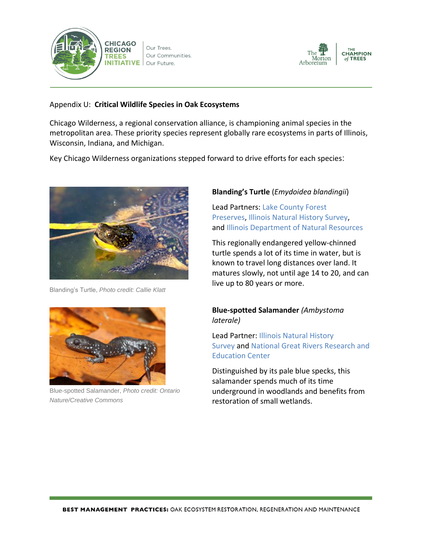

Our Trees. Our Communities. Our Future.



### Appendix U: **Critical Wildlife Species in Oak Ecosystems**

Chicago Wilderness, a regional conservation alliance, is championing animal species in the metropolitan area. These priority species represent globally rare ecosystems in parts of Illinois, Wisconsin, Indiana, and Michigan.

Key Chicago Wilderness organizations stepped forward to drive efforts for each species:



Blanding's Turtle, *Photo credit: Callie Klatt*



Blue-spotted Salamander, *Photo credit: Ontario Nature/Creative Commons*

# **Blanding's Turtle** (*Emydoidea blandingii*)

Lead Partners: [Lake County Forest](http://www.lcfpd.org/)  [Preserves,](http://www.lcfpd.org/) [Illinois Natural History Survey,](http://www.inhs.illinois.edu/) and [Illinois Department of Natural Resources](http://www.dnr.illinois.gov/Pages/default.aspx)

This regionally endangered yellow-chinned turtle spends a lot of its time in water, but is known to travel long distances over land. It matures slowly, not until age 14 to 20, and can live up to 80 years or more.

# **Blue-spotted Salamander** *(Ambystoma laterale)*

Lead Partner: [Illinois Natural History](http://www.inhs.illinois.edu/)  [Survey](http://www.inhs.illinois.edu/) and [National Great Rivers Research and](http://www.ngrrec.org/)  [Education Center](http://www.ngrrec.org/)

Distinguished by its pale blue specks, this salamander spends much of its time underground in woodlands and benefits from restoration of small wetlands.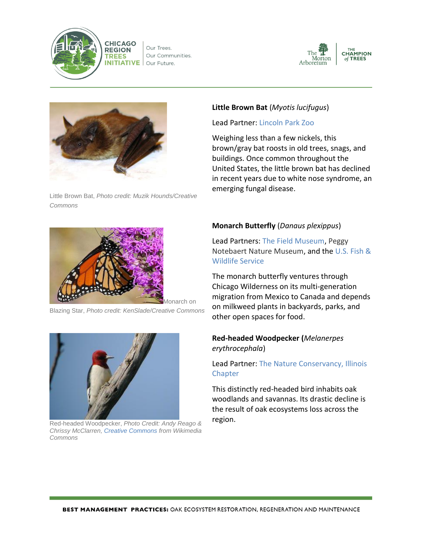

**CHICAGO REGION TREES INITIATIVE** 





**THE**<br>CHAMPION of TREES



Little Brown Bat, *Photo credit: Muzik Hounds/Creative Commons*



lonarch on

Blazing Star, *Photo credit: KenSlade/Creative Commons*



Red-headed Woodpecker, *Photo Credit: Andy Reago & Chrissy McClarren, [Creative Commons](http://www.chicagowilderness.org/news/271878/Red-headed%20Woodpecker%20Photo%20Credit:%20Andy%20Reago%20&%20Chrissy%20McClarren,%20Creative%20Commons%20from%20Wikimedia%20Commons) from Wikimedia Commons*

## **Little Brown Bat** (*Myotis lucifugus*)

Lead Partner: [Lincoln Park Zoo](http://www.lpzoo.org/)

Weighing less than a few nickels, this brown/gray bat roosts in old trees, snags, and buildings. Once common throughout the United States, the little brown bat has declined in recent years due to white nose syndrome, an emerging fungal disease.

### **Monarch Butterfly** (*Danaus plexippus*)

Lead Partners: [The Field Museum,](https://www.fieldmuseum.org/) [Peggy](http://www.naturemuseum.org/)  [Notebaert Nature Museum,](http://www.naturemuseum.org/) and the [U.S. Fish &](http://www.fws.gov/midwest/monarch/)  [Wildlife Service](http://www.fws.gov/midwest/monarch/)

The monarch butterfly ventures through Chicago Wilderness on its multi-generation migration from Mexico to Canada and depends on milkweed plants in backyards, parks, and other open spaces for food.

### **Red-headed Woodpecker (***Melanerpes erythrocephala*)

Lead Partner: [The Nature Conservancy, Illinois](http://www.nature.org/ourinitiatives/regions/northamerica/unitedstates/illinois/)  **[Chapter](http://www.nature.org/ourinitiatives/regions/northamerica/unitedstates/illinois/)** 

This distinctly red-headed bird inhabits oak woodlands and savannas. Its drastic decline is the result of oak ecosystems loss across the region.